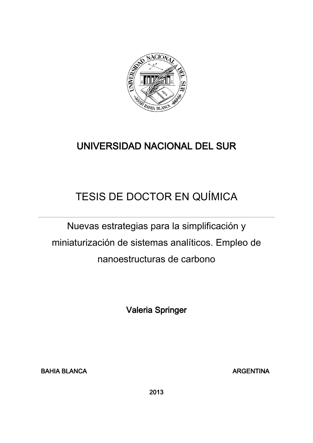

## UNIVERSIDAD NACIONAL DEL SUR

# TESIS DE DOCTOR EN QUÍMICA

Nuevas estrategias para la simplificación y miniaturización de sistemas analíticos. Empleo de nanoestructuras de carbono

Valeria Springer

BAHIA BLANCA ARGENTINA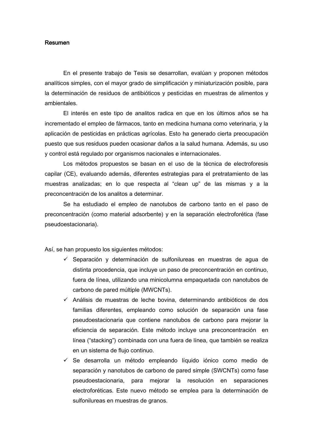#### Resumen

En el presente trabajo de Tesis se desarrollan, evalúan y proponen métodos analíticos simples, con el mayor grado de simplificación y miniaturización posible, para la determinación de residuos de antibióticos y pesticidas en muestras de alimentos y ambientales.

El interés en este tipo de analitos radica en que en los últimos años se ha incrementado el empleo de fármacos, tanto en medicina humana como veterinaria, y la aplicación de pesticidas en prácticas agrícolas. Esto ha generado cierta preocupación puesto que sus residuos pueden ocasionar daños a la salud humana. Además, su uso y control está regulado por organismos nacionales e internacionales.

Los métodos propuestos se basan en el uso de la técnica de electroforesis capilar (CE), evaluando además, diferentes estrategias para el pretratamiento de las muestras analizadas; en lo que respecta al "clean up" de las mismas y a la preconcentración de los analitos a determinar.

Se ha estudiado el empleo de nanotubos de carbono tanto en el paso de preconcentración (como material adsorbente) y en la separación electroforética (fase pseudoestacionaria).

Así, se han propuesto los siguientes métodos:

- $\checkmark$  Separación y determinación de sulfonilureas en muestras de agua de distinta procedencia, que incluye un paso de preconcentración en continuo, fuera de línea, utilizando una minicolumna empaquetada con nanotubos de carbono de pared múltiple (MWCNTs).
- $\checkmark$  Análisis de muestras de leche bovina, determinando antibióticos de dos familias diferentes, empleando como solución de separación una fase pseudoestacionaria que contiene nanotubos de carbono para mejorar la eficiencia de separación. Este método incluye una preconcentración en línea ("stacking") combinada con una fuera de línea, que también se realiza en un sistema de flujo continuo.
- $\checkmark$  Se desarrolla un método empleando líquido iónico como medio de separación y nanotubos de carbono de pared simple (SWCNTs) como fase pseudoestacionaria, para mejorar la resolución en separaciones electroforéticas. Este nuevo método se emplea para la determinación de sulfonilureas en muestras de granos.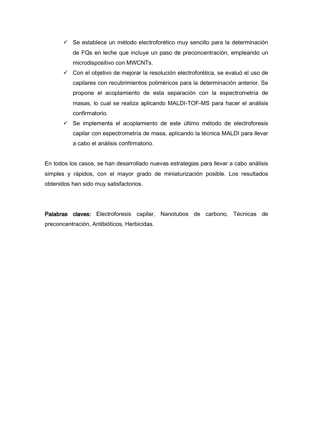- $\checkmark$  Se establece un método electroforético muy sencillo para la determinación de FQs en leche que incluye un paso de preconcentración, empleando un microdispositivo con MWCNTs.
- Con el objetivo de mejorar la resolución electroforética, se evaluó el uso de capilares con recubrimientos poliméricos para la determinación anterior. Se propone el acoplamiento de esta separación con la espectrometría de masas, lo cual se realiza aplicando MALDI-TOF-MS para hacer el análisis confirmatorio.
- $\checkmark$  Se implementa el acoplamiento de este último método de electroforesis capilar con espectrometría de masa, aplicando la técnica MALDI para llevar a cabo el análisis confirmatorio.

En todos los casos, se han desarrollado nuevas estrategias para llevar a cabo análisis simples y rápidos, con el mayor grado de miniaturización posible. Los resultados obtenidos han sido muy satisfactorios.

Palabras claves: Electroforesis capilar, Nanotubos de carbono, Técnicas de preconcentración, Antibióticos, Herbicidas.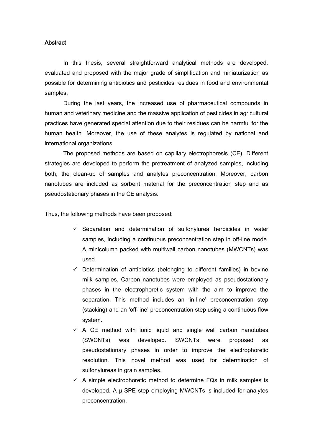### **Abstract**

In this thesis, several straightforward analytical methods are developed, evaluated and proposed with the major grade of simplification and miniaturization as possible for determining antibiotics and pesticides residues in food and environmental samples.

During the last years, the increased use of pharmaceutical compounds in human and veterinary medicine and the massive application of pesticides in agricultural practices have generated special attention due to their residues can be harmful for the human health. Moreover, the use of these analytes is regulated by national and international organizations.

The proposed methods are based on capillary electrophoresis (CE). Different strategies are developed to perform the pretreatment of analyzed samples, including both, the clean-up of samples and analytes preconcentration. Moreover, carbon nanotubes are included as sorbent material for the preconcentration step and as pseudostationary phases in the CE analysis.

Thus, the following methods have been proposed:

- $\checkmark$  Separation and determination of sulfonylurea herbicides in water samples, including a continuous preconcentration step in off-line mode. A minicolumn packed with multiwall carbon nanotubes (MWCNTs) was used.
- $\checkmark$  Determination of antibiotics (belonging to different families) in bovine milk samples. Carbon nanotubes were employed as pseudostationary phases in the electrophoretic system with the aim to improve the separation. This method includes an 'in-line' preconcentration step (stacking) and an 'off-line' preconcentration step using a continuous flow system.
- $\checkmark$  A CE method with ionic liquid and single wall carbon nanotubes (SWCNTs) was developed. SWCNTs were proposed as pseudostationary phases in order to improve the electrophoretic resolution. This novel method was used for determination of sulfonylureas in grain samples.
- $\checkmark$  A simple electrophoretic method to determine FQs in milk samples is developed. A µ-SPE step employing MWCNTs is included for analytes preconcentration.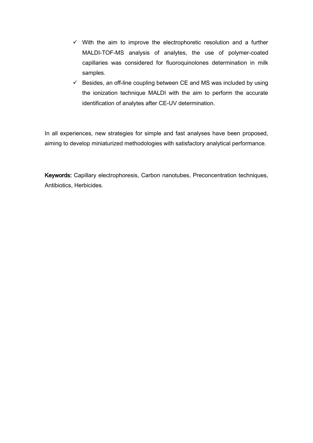- $\checkmark$  With the aim to improve the electrophoretic resolution and a further MALDI-TOF-MS analysis of analytes, the use of polymer-coated capillaries was considered for fluoroquinolones determination in milk samples.
- $\checkmark$  Besides, an off-line coupling between CE and MS was included by using the ionization technique MALDI with the aim to perform the accurate identification of analytes after CE-UV determination.

In all experiences, new strategies for simple and fast analyses have been proposed, aiming to develop miniaturized methodologies with satisfactory analytical performance.

Keywords: Capillary electrophoresis, Carbon nanotubes, Preconcentration techniques, Antibiotics, Herbicides.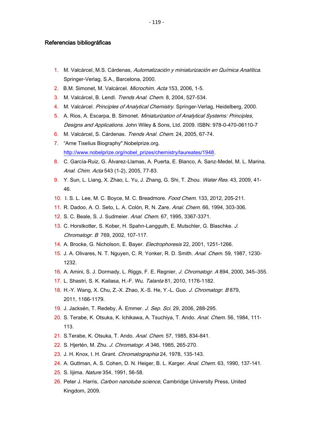#### Referencias bibliográficas

- 1. M. Valcárcel, M.S. Cárdenas, Automatización y miniaturización en Química Analítica. Springer-Verlag, S.A., Barcelona, 2000.
- 2. B.M. Simonet, M. Valcárcel. Microchim. Acta 153, 2006, 1-5.
- 3. M. Valcárcel, B. Lendl. Trends Anal. Chem. 8, 2004, 527-534.
- 4. M. Valcárcel. Principles of Analytical Chemistry. Springer-Verlag, Heidelberg, 2000.
- 5. A. Rios, A. Escarpa, B. Simonet. Miniaturization of Analytical Systems: Principles, Designs and Applications. John Wiley & Sons, Ltd. 2009. ISBN: 978-0-470-06110-7
- 6. M. Valcárcel, S. Cárdenas. Trends Anal. Chem. 24, 2005, 67-74.
- 7. "Arne Tiselius Biography".Nobelprize.org. [http://www.nobelprize.org/nobel\\_prizes/chemistry/laureates/1948.](http://www.nobelprize.org/nobel_prizes/chemistry/laureates/1948)
- 8. C. García-Ruiz, G. Álvarez-Llamas, A. Puerta, E. Blanco, A. Sanz-Medel, M. L. Marina. Anal. Chim. Acta 543 (1-2), 2005, 77-83.
- 9. Y. Sun, L. Liang, X. Zhao, L. Yu, J. Zhang, G. Shi, T. Zhou. Water Res. 43, 2009, 41-46.
- 10. I. S. L. Lee, M. C. Boyce, M. C. Breadmore. Food Chem. 133, 2012, 205-211.
- 11. R. Dadoo, A. O. Seto, L. A. Colón, R. N. Zare. Anal. Chem. 66, 1994, 303-306.
- 12. S. C. Beale, S. J. Sudmeier. Anal. Chem. 67, 1995, 3367-3371.
- 13. C. Horstkotter, S. Kober, H. Spahn-Langguth, E. Mutschler, G. Blaschke. J. Chromatogr. B 769, 2002, 107-117.
- 14. A. Brocke, G. Nicholson, E. Bayer. Electrophoresis 22, 2001, 1251-1266.
- 15. J. A. Olivares, N. T. Nguyen, C. R. Yonker, R. D. Smith. Anal. Chem. 59, 1987, 1230- 1232.
- 16. A. Amini, S. J. Dormady, L. Riggs, F. E. Regnier, J. Chromatogr. A 894, 2000, 345–355.
- 17. L. Shastri, S. K. Kailasa, H.-F. Wu. Talanta 81, 2010, 1176-1182.
- 18. H.-Y. Wang, X. Chu, Z.-X. Zhao, X.-S. He, Y.-L. Guo. J. Chromatogr. B 879, 2011, 1166-1179.
- 19. J. Jacksén, T. Redeby, Å. Emmer. *J. Sep. Sci.* 29, 2006, 288-295.
- 20. S. Terabe, K. Otsuka, K. Ichikawa, A. Tsuchiya, T. Ando. Anal. Chem. 56, 1984, 111-113.
- 21. S.Terabe, K. Otsuka, T. Ando. Anal. Chem. 57, 1985, 834-841.
- 22. S. Hjertén, M. Zhu. J. Chromatogr. A 346, 1985, 265-270.
- 23. J. H. Knox, I. H. Grant. Chromatographia 24, 1978, 135-143.
- 24. A. Guttman, A. S. Cohen, D. N. Heiger, B. L. Karger. Anal. Chem. 63, 1990, 137-141.
- 25. S. Iijima. Nature 354, 1991, 56-58.
- 26. Peter J. Harris, Carbon nanotube science, Cambridge University Press, United Kingdom, 2009.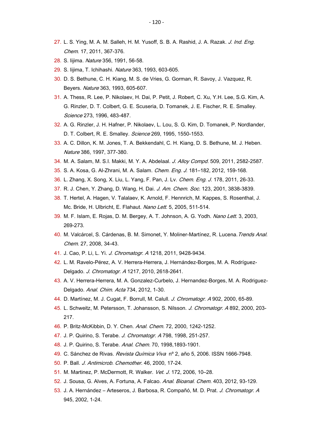- 27. L. S. Ying, M. A. M. Salleh, H. M. Yusoff, S. B. A. Rashid, [J.](http://www.sciencedirect.com/science/journal/1226086X) A. Razak. J. Ind. Eng. Chem. 17, 2011, 367-376.
- 28. S. Iijima. Nature 356, 1991, 56-58.
- 29. S. Iijima, T. Ichihashi. Nature 363, 1993, 603-605.
- 30. D. S. Bethune, C. H. Kiang, M. S. de Vries, G. Gorman, R. Savoy, J. Vazquez, R. Beyers. Nature 363, 1993, 605-607.
- 31. A. Thess, R. Lee, P. Nikolaev, H. Dai, P. Petit, J. Robert, C. Xu, Y.H. Lee, S.G. Kim, A. G. Rinzler, D. T. Colbert, G. E. Scuseria, D. Tomanek, J. E. Fischer, R. E. Smalley. Science 273, 1996, 483-487.
- 32. A. G. Rinzler, J. H. Hafner, P. Nikolaev, L. Lou, S. G. Kim, D. Tomanek, P. Nordlander, D. T. Colbert, R. E. Smalley. Science 269, 1995, 1550-1553.
- 33. A. C. Dillon, K. M. Jones, T. A. Bekkendahl, C. H. Kiang, D. S. Bethune, M. J. Heben. Nature 386, 1997, 377-380.
- 34. M. A. Salam, M. S.I. Makki, M. Y. A. Abdelaal. J. Alloy Compd. 509, 2011, 2582-2587.
- 35. S. A. Kosa, G. Al-Zhrani, M. A. Salam. Chem. Eng. J. 181–182, 2012, 159-168.
- 36. L. Zhang, X. Song, X. Liu, L. Yang, F. Pan, J. Lv. Chem. Eng. J. 178, 2011, 26-33.
- 37. R. J. Chen, Y. Zhang, D. Wang, H. Dai. J. Am. Chem. Soc. 123, 2001, 3838-3839.
- 38. T. Hertel, A. Hagen, V. Talalaev, K. Arnold, F. Hennrich, M. Kappes, S. Rosenthal, J. Mc. Bride, H. Ulbricht, E. Flahaut. Nano Lett. 5, 2005, 511-514.
- 39. M. F. Islam, E. Rojas, D. M. Bergey, A. T. Johnson, A. G. Yodh. Nano Lett. 3, 2003, 269-273.
- 40. M. Valcárcel, S. Cárdenas, B. M. Simonet, Y. Moliner-Martínez, R. Lucena. Trends Anal. Chem. 27, 2008, 34-43.
- 41. J. Cao, P. Li, L. Yi. J. Chromatogr. A 1218, 2011, 9428-9434.
- 42. L. M. Ravelo-Pérez, A. V. Herrera-Herrera, J. Hernández-Borges, M. A. Rodríguez-Delgado. J. Chromatogr. A 1217, 2010, 2618-2641.
- 43. A. V. Herrera-Herrera, M. A. Gonzalez-Curbelo, J. Hernandez-Borges, M. A. Rodriguez-Delgado. Anal. Chim. Acta 734, 2012, 1-30.
- 44. D. Martínez, M. J. Cugat, F. Borrull, M. Calull. J. Chromatogr. A 902, 2000, 65-89.
- 45. L. Schweitz, M. Petersson, T. Johansson, S. Nilsson. J. Chromatogr. A 892, 2000, 203- 217.
- 46. P. Britz-McKibbin, D. Y. Chen. Anal. Chem. 72, 2000, 1242-1252.
- 47. J. P. Quirino, S. Terabe. J. Chromatogr. A 798, 1998, 251-257.
- 48. J. P. Quirino, S. Terabe. Anal. Chem. 70, 1998,1893-1901.
- 49. C. Sánchez de Rivas. Revista Química Viva nº 2, año 5, 2006. ISSN 1666-7948.
- 50. P. Ball. J. Antimicrob. Chemother. 46, 2000, 17-24.
- 51. M. Martinez, P. McDermott, R. Walker. Vet. J. 172, 2006, 10-28.
- 52. J. Sousa, G. Alves, A. Fortuna, [A.](http://scholar.google.com.sci-hub.org/citations?user=9Ysj1R0AAAAJ&hl=en&oi=sra) Falcao. Anal. Bioanal. Chem. 403, 2012, 93-129.
- 53. J. A. Hernández Arteseros, J. Barbosa, R. Compañó, M. D. Prat. J. Chromatogr. A 945, 2002, 1-24.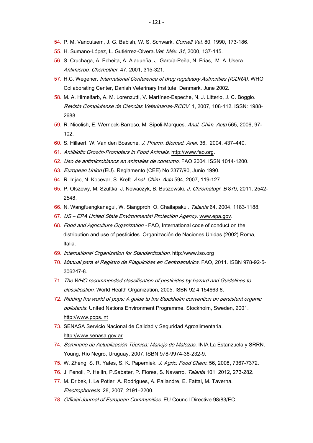- 54. P. M. Vancutsem, J. G. Babish, W. S. Schwark. Cornell Vet. 80, 1990, 173-186.
- 55. H. Sumano-López, L. Gutiérrez-Olvera. Vet. Méx. 31, 2000, 137-145.
- 56. [S. Cruchaga,](http://jac.oxfordjournals.org/search?author1=Susana+Cruchaga&sortspec=date&submit=Submit) [A. Echeita,](http://jac.oxfordjournals.org/search?author1=Aurora+Echeita&sortspec=date&submit=Submit) [A. Aladueña](http://jac.oxfordjournals.org/search?author1=Ana+Aladue%C3%B1a&sortspec=date&submit=Submit), [J. García](http://jac.oxfordjournals.org/search?author1=Javier+Garc%C3%ADa-Pe%C3%B1a&sortspec=date&submit=Submit)-Peña, [N. Frias,](http://jac.oxfordjournals.org/search?author1=Nieves+Frias&sortspec=date&submit=Submit) [M. A. Usera.](http://jac.oxfordjournals.org/search?author1=Miguel+Angel+Usera&sortspec=date&submit=Submit) Antimicrob. Chemother. 47, 2001, 315-321.
- 57. H.C. Wegener. International Conference of drug regulatory Authorities (ICDRA). WHO Collaborating Center, Danish Veterinary Institute, Denmark. June 2002.
- 58. M. A. Himelfarb, A. M. Lorenzutti, V. Martínez-Espeche, N. J. Litterio, J. C. Boggio. Revista Complutense de Ciencias Veterinarias-RCCV 1, 2007, 108-112. ISSN: 1988- 2688.
- 59. R. Nicolish, E. Werneck-Barroso, M. Sípoli-Marques. Anal. Chim. Acta 565, 2006, 97- 102.
- 60. S. Hillaert, W. Van den Bossche. J. Pharm. [Biomed.](http://www.sciencedirect.com/science/journal/07317085) Anal. [36,](http://www.sciencedirect.com/science/journal/07317085/36/3) 2004, 437–440.
- 61. Antibiotic Growth-Promoters in Food Animals. [http://www.fao.org.](http://www.fao.org/)
- 62. Uso de antimicrobianos en animales de consumo. FAO 2004. ISSN 1014-1200.
- 63. European Union (EU). Reglamento (CEE) No 2377/90, Junio 1990.
- 64. R. Injac, N. Kocevar, S. Kreft. Anal. Chim. Acta 594, 2007, 119-127.
- 65. P. Olszowy, M. Szultka, J. Nowaczyk, B. Buszewski. J. Chromatogr. B 879, 2011, 2542-2548.
- 66. N. Wangfuengkanagul, W. Siangproh, O. Chailapakul. Talanta 64, 2004, 1183-1188.
- 67. US EPA United State Environmental Protection Agency. [www.epa.gov.](http://www.epa.gov/)
- 68. Food and Agriculture Organization FAO, International code of conduct on the distribution and use of pesticides. Organización de Naciones Unidas (2002) Roma, Italia.
- 69. International Organization for Standardization. [http://www.iso.org](http://www.iso.org/)
- 70. Manual para el Registro de Plaguicidas en Centroamérica. FAO, 2011. ISBN 978-92-5- 306247-8.
- 71. The WHO recommended classification of pesticides by hazard and Guidelines to classification. World Health Organization, 2005. ISBN 92 4 154663 8.
- 72. Ridding the world of pops: A guide to the Stockholm convention on persistent organic pollutants. United Nations Environment Programme. Stockholm, Sweden, 2001. [http://www.pops.int](http://www.pops.int/)
- 73. SENASA Servicio Nacional de Calidad y Seguridad Agroalimentaria. [http://www.senasa.gov.ar](http://www.senasa.gov.ar/)
- 74. Seminario de Actualización Técnica: Manejo de Malezas. INIA La Estanzuela y SRRN. Young, Río Negro, Uruguay, 2007. ISBN 978-9974-38-232-9.
- 75. W. Zheng, S. R. Yates, S. K. Paperniek. J. Agric. Food Chem. 56, 2008, 7367-7372.
- 76. J. Fenoll, P. Hellín, P.Sabater, P. Flores, S. Navarro. Talanta 101, 2012, 273-282.
- 77. M. Dribek, I. Le Potier, A. Rodrigues, A. Pallandre, E. Fattal, M. Taverna. Electrophoresis 28, 2007, 2191–2200.
- 78. Official Journal of European Communities. EU Council Directive 98/83/EC.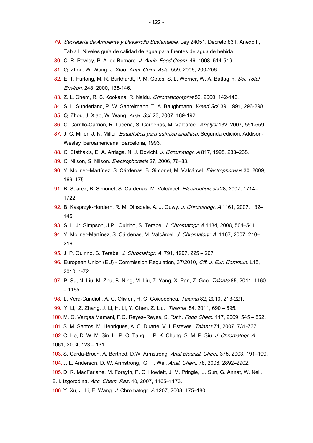- 79. Secretaría de Ambiente y Desarrollo Sustentable. Ley 24051. Decreto 831. Anexo II, Tabla I. Niveles guía de calidad de agua para fuentes de agua de bebida.
- 80. C. R. Powley, P. A. de Bernard. J. Agric. Food Chem. 46, 1998, 514-519.
- 81. Q. Zhou, W. Wang, J. Xiao. Anal. Chim. Acta 559, 2006, 200-206.
- 82. E. T. Furlong, M. R. Burkhardt, P. M. Gotes, S. L. Werner, W. A. Battaglin. Sci. Total Environ. 248, 2000, 135-146.
- 83. Z. L. Chem, R. S. Kookana, R. Naidu. Chromatographia 52, 2000, 142-146.
- 84. S. L. Sunderland, P. W. Sanrelmann, T. A. Baughmann. Weed Sci. 39, 1991, 296-298.
- 85. Q. Zhou, J. Xiao, W. Wang. Anal. Sci. 23, 2007, 189-192.
- 86. C. Carrillo-Carrión, R. Lucena, S. Cardenas, M. Valcarcel. Analyst 132, 2007, 551-559.
- 87. J. C. Miller, J. N. Miller. Estadística para química analítica. Segunda edición. Addison-Wesley iberoamericana, Barcelona, 1993.
- 88. C. Stathakis, E. A. Arriaga, N. J. Dovichi. J. Chromatogr. A 817, 1998, 233-238.
- 89. C. Nilson, S. Nilson. Electrophoresis 27, 2006, 76-83.
- 90. Y. Moliner–Martínez, S. Cárdenas, B. Simonet, M. Valcárcel. Electrophoresis 30, 2009, 169–175.
- 91. B. Suárez, B. Simonet, S. Cárdenas, M. Valcárcel. Electrophoresis 28, 2007, 1714– 1722.
- 92. B. Kasprzyk-Hordern, R. M. Dinsdale, A. J. Guwy. J. Chromatogr. A 1161, 2007, 132-145.
- 93. S. L. Jr. Simpson, J.P. Quirino, S. Terabe. J. Chromatogr. A 1184, 2008, 504-541.
- 94. Y. Moliner-Martínez, S. Cárdenas, M. Valcárcel. J. Chromatogr. A 1167, 2007, 210-216.
- 95. J. P. Quirino, S. Terabe. J. Chromatogr. A 791, 1997, 225 267.
- 96. European Union (EU) Commission Regulation, 37/2010, *Off. J. Eur. Commun.* L15, 2010, 1-72.
- 97. P. Su, N. Liu, M. Zhu, B. Ning, M. Liu, Z. Yang, X. Pan, Z. Gao. Talanta 85, 2011, 1160 – 1165.
- 98. L. Vera-Candioti, A. C. Olivieri, H. C. Goicoechea. Talanta 82, 2010, 213-221.
- 99. Y. Li, Z. Zhang, J. Li, H. Li, Y. Chen, Z. Liu. Talanta 84, 2011, 690 695.
- 100. M. C. Vargas Mamani, F.G. Reyes–Reyes, S. Rath. Food Chem. 117, 2009, 545 552.
- 101. S. M. Santos, M. Henriques, A. C. Duarte, V. I. Esteves. Talanta 71, 2007, 731-737.
- 102. C. Ho, D. W. M. Sin, H. P. O. Tang, L. P. K. Chung, S. M. P. Siu. J. Chromatogr. A 1061, 2004, 123 – 131.
- 103. S. Carda-Broch, A. Berthod, D.W. Armstrong. Anal Bioanal. Chem. 375, 2003, 191–199.
- 104. J. L. Anderson, D. W. Armstrong, G. T. Wei. Anal. Chem. 78, 2006, 2892–2902.
- 105. D. R. MacFarlane, M. Forsyth, P. C. Howlett, J. M. Pringle, J. Sun, G. Annat, W. Neil,
- E. I. Izgorodina. Acc. Chem. Res. 40, 2007, 1165–1173.
- 106. Y. Xu, J. Li, E. Wang. J. Chromatogr. A 1207, 2008, 175–180.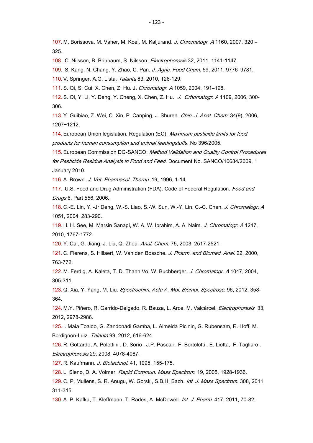107. M. Borissova, M. Vaher, M. Koel, M. Kaljurand. J. Chromatogr. A 1160, 2007, 320 – 325.

108. C. Nilsson, B. Brinbaum, S. Nilsson. Electrophoresis 32, 2011, 1141-1147.

109. S. Kang, N. Chang, Y. Zhao, C. Pan. J. Agric. Food Chem. 59, 2011, 9776–9781.

110. V. Springer, A.G. Lista. Talanta 83, 2010, 126-129.

111. S. Qi, S. Cui, X. Chen, Z. Hu. J. Chromatogr. A 1059, 2004, 191–198.

112. S. Qi, Y. Li, Y. Deng, Y. Cheng, X. Chen, Z. Hu. J. Crhomatogr. A 1109, 2006, 300- 306.

113. Y. Guibiao, Z. Wei, C. Xin, P. Canping, J. Shuren. Chin. J. Anal. Chem. 34(9), 2006, 1207−1212.

114. European Union legislation. Regulation (EC). Maximum pesticide limits for food products for human consumption and animal feedingstuffs. No 396/2005.

115. European Commission DG-SANCO: Method Validation and Quality Control Procedures for Pesticide Residue Analysis in Food and Feed. Document No. SANCO/10684/2009, 1 January 2010.

116. A. Brown. J. Vet. Pharmacol. Therap. 19, 1996, 1-14.

117. U.S. Food and Drug Administration (FDA). Code of Federal Regulation. Food and Drugs 6, Part 556, 2006.

118. C.-E. Lin, Y. -Jr Deng, W.-S. Liao, S.-W. Sun, W.-Y. Lin, C.-C. Chen. J. Chromatogr. <sup>A</sup> 1051, 2004, 283-290.

119. H. H. See, M. Marsin Sanagi, W. A. W. Ibrahim, A. A. Naim. J. Chromatogr. A 1217, 2010, 1767-1772.

120. Y. Cai, G. Jiang, J. Liu, Q. Zhou. Anal. Chem. 75, 2003, 2517-2521.

121. C. Fierens, S. Hillaert, W. Van den Bossche. J. Pharm. and Biomed. Anal. 22, 2000, 763-772.

122. M. Ferdig, A. Kaleta, T. D. Thanh Vo, W. Buchberger. J. Chromatogr. A 1047, 2004, 305-311.

123. Q. Xia, Y. Yang, M. Liu. Spectrochim. Acta A, Mol. Biomol. Spectrosc. 96, 2012, 358- 364.

124. M.Y. Piñero, R. Garrido-Delgado, R. Bauza, L. Arce, M. Valcárcel. *Electrophoresis* 33, 2012, 2978-2986.

125. I. Maia Toaldo, G. Zandonadi Gamba, L. Almeida Picinin, G. Rubensam, R. Hoff, M. Bordignon-Luiz. Talanta 99, 2012, 616-624.

126. R. [Gottardo,](http://www.ncbi.nlm.nih.gov/pubmed?term=Gottardo%20R%5BAuthor%5D&cauthor=true&cauthor_uid=18958878) A. [Polettini ,](http://www.ncbi.nlm.nih.gov/pubmed?term=Polettini%20A%5BAuthor%5D&cauthor=true&cauthor_uid=18958878) D. [Sorio ,](http://www.ncbi.nlm.nih.gov/pubmed?term=Sorio%20D%5BAuthor%5D&cauthor=true&cauthor_uid=18958878) J.P. [Pascali ,](http://www.ncbi.nlm.nih.gov/pubmed?term=Pascali%20JP%5BAuthor%5D&cauthor=true&cauthor_uid=18958878) F. [Bortolotti ,](http://www.ncbi.nlm.nih.gov/pubmed?term=Bortolotti%20F%5BAuthor%5D&cauthor=true&cauthor_uid=18958878) E. [Liotta,](http://www.ncbi.nlm.nih.gov/pubmed?term=Liotta%20E%5BAuthor%5D&cauthor=true&cauthor_uid=18958878) F. [Tagliaro .](http://www.ncbi.nlm.nih.gov/pubmed?term=Tagliaro%20F%5BAuthor%5D&cauthor=true&cauthor_uid=18958878) Electrophoresis 29, 2008, 4078-4087.

127. R. [Kaufmann.](http://www.sciencedirect.com/science/article/pii/016816569500009F) J. Biotechnol. 41, 1995, 155-175.

128. L. Sleno, D. A. Volmer. Rapid Commun. Mass Spectrom. 19, 2005, 1928-1936.

129. C. P. Mullens, S. R. Anugu, W. Gorski, S.B.H. Bach. Int. J. Mass Spectrom. 308, 2011, 311-315.

130. A. P. Kafka, T. Kleffmann, T. Rades, A. McDowell. Int. J. Pharm. 417, 2011, 70-82.